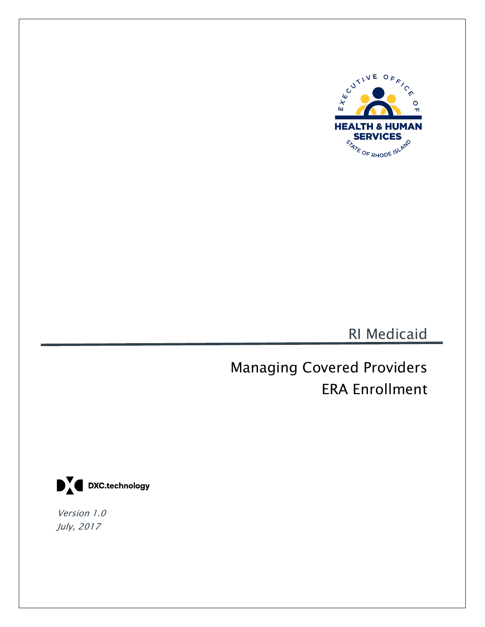

RI Medicaid

Managing Covered Providers ERA Enrollment



Version 1.0 July, 2017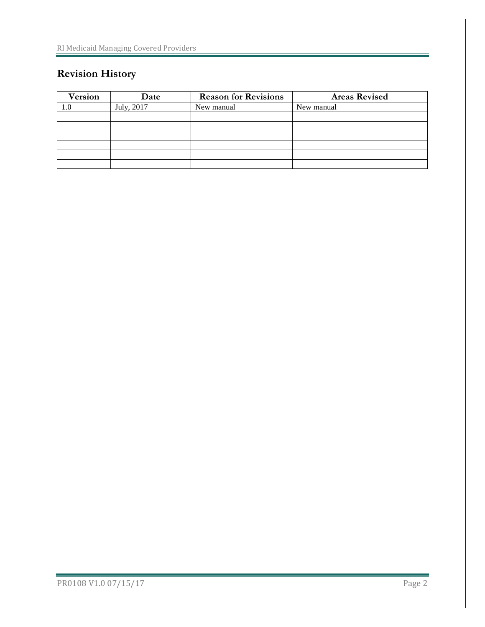# **Revision History**

| <b>Version</b> | Date       | <b>Reason for Revisions</b> | <b>Areas Revised</b> |
|----------------|------------|-----------------------------|----------------------|
| 1.0            | July, 2017 | New manual                  | New manual           |
|                |            |                             |                      |
|                |            |                             |                      |
|                |            |                             |                      |
|                |            |                             |                      |
|                |            |                             |                      |
|                |            |                             |                      |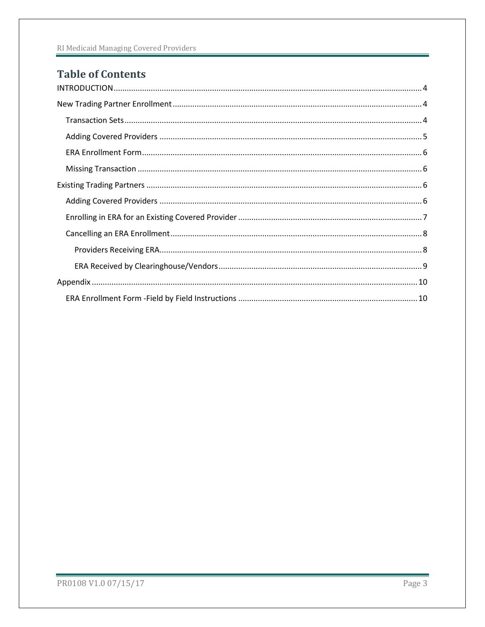# **Table of Contents**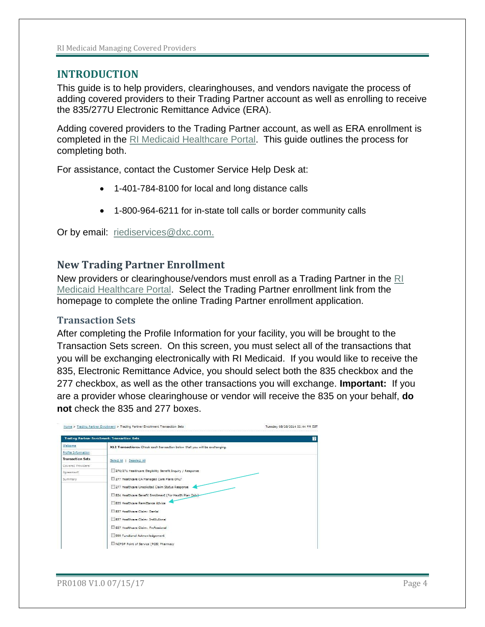## <span id="page-3-0"></span>**INTRODUCTION**

This guide is to help providers, clearinghouses, and vendors navigate the process of adding covered providers to their Trading Partner account as well as enrolling to receive the 835/277U Electronic Remittance Advice (ERA).

Adding covered providers to the Trading Partner account, as well as ERA enrollment is completed in the [RI Medicaid Healthcare Portal.](https://www.riproviderportal.org/HCP/Default.aspx?alias=www.riproviderportal.org/hcp/provider) This guide outlines the process for completing both.

For assistance, contact the Customer Service Help Desk at:

- 1-401-784-8100 for local and long distance calls
- 1-800-964-6211 for in-state toll calls or border community calls

Or by email: [riediservices@dxc.com.](mailto:riediservices@dxc.com)

## <span id="page-3-1"></span>**New Trading Partner Enrollment**

New providers or clearinghouse/vendors must enroll as a Trading Partner in the [RI](http://www.riproviderportal.org/)  [Medicaid Healthcare Portal.](http://www.riproviderportal.org/) Select the Trading Partner enrollment link from the homepage to complete the online Trading Partner enrollment application.

### <span id="page-3-2"></span>**Transaction Sets**

After completing the Profile Information for your facility, you will be brought to the Transaction Sets screen. On this screen, you must select all of the transactions that you will be exchanging electronically with RI Medicaid. If you would like to receive the 835, Electronic Remittance Advice, you should select both the 835 checkbox and the 277 checkbox, as well as the other transactions you will exchange. **Important:** If you are a provider whose clearinghouse or vendor will receive the 835 on your behalf, **do not** check the 835 and 277 boxes.

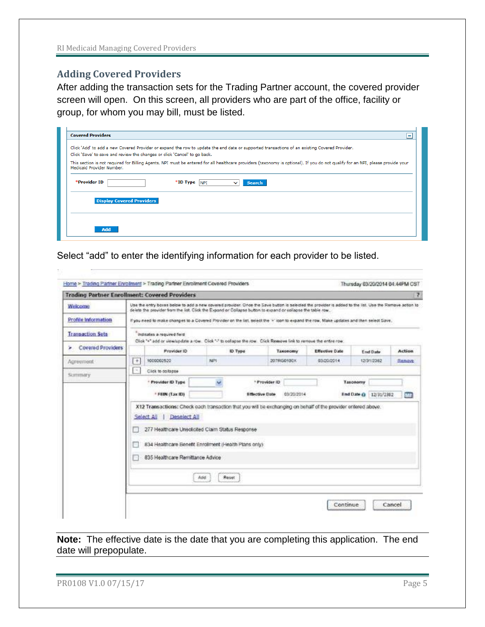## <span id="page-4-0"></span>**Adding Covered Providers**

After adding the transaction sets for the Trading Partner account, the covered provider screen will open. On this screen, all providers who are part of the office, facility or group, for whom you may bill, must be listed.

| <b>Covered Providers</b><br>Ξ                                                                                                                                                                                              |  |  |  |
|----------------------------------------------------------------------------------------------------------------------------------------------------------------------------------------------------------------------------|--|--|--|
| Click 'Add' to add a new Covered Provider or expand the row to update the end date or supported transactions of an existing Covered Provider.<br>Click 'Save' to save and review the changes or click 'Cancel' to go back. |  |  |  |
| This section is not required for Billing Agents. NPI must be entered for all healthcare providers (taxonomy is optional). If you do not qualify for an NPI, please provide your<br>Medicaid Provider Number.               |  |  |  |
| *Provider ID<br>$*$ ID Type $ _{\text{NPI}}$<br><b>Search</b><br>$\checkmark$                                                                                                                                              |  |  |  |
| <b>Display Covered Providers</b>                                                                                                                                                                                           |  |  |  |
|                                                                                                                                                                                                                            |  |  |  |
| <b>Add</b>                                                                                                                                                                                                                 |  |  |  |

Select "add" to enter the identifying information for each provider to be listed.

| Use the entry boxes below to add a new covered provider. Once the Save button is selected the provider is added to the list. Use the Remove action to<br>delete the provider from the list. Click the Expand or Collapse button to expand or collapse the table row. |                                                   |                                                                                                                                          |     |                                        |                                      |          |                                                                                                                              |                                                                                                                                                                         |
|----------------------------------------------------------------------------------------------------------------------------------------------------------------------------------------------------------------------------------------------------------------------|---------------------------------------------------|------------------------------------------------------------------------------------------------------------------------------------------|-----|----------------------------------------|--------------------------------------|----------|------------------------------------------------------------------------------------------------------------------------------|-------------------------------------------------------------------------------------------------------------------------------------------------------------------------|
|                                                                                                                                                                                                                                                                      |                                                   |                                                                                                                                          |     |                                        |                                      |          |                                                                                                                              |                                                                                                                                                                         |
|                                                                                                                                                                                                                                                                      |                                                   | If you need to make changes to a Covered Provider on the list, select the '+' loon to expand the row, Make updates and then select Save, |     |                                        |                                      |          |                                                                                                                              |                                                                                                                                                                         |
|                                                                                                                                                                                                                                                                      |                                                   |                                                                                                                                          |     |                                        |                                      |          |                                                                                                                              |                                                                                                                                                                         |
| <b>Covered Providers</b><br>Provider ID                                                                                                                                                                                                                              |                                                   | <b>ID Type</b>                                                                                                                           |     | <b>Effective Date</b>                  |                                      |          |                                                                                                                              | Action                                                                                                                                                                  |
| $[ + ]$<br>1000002520                                                                                                                                                                                                                                                |                                                   |                                                                                                                                          |     |                                        |                                      |          |                                                                                                                              | RAMOVE.                                                                                                                                                                 |
| G)<br>Click to collapse                                                                                                                                                                                                                                              |                                                   |                                                                                                                                          |     |                                        |                                      |          |                                                                                                                              |                                                                                                                                                                         |
|                                                                                                                                                                                                                                                                      |                                                   | w                                                                                                                                        |     |                                        |                                      | Taxonomy |                                                                                                                              |                                                                                                                                                                         |
| * FEIN (Tax ID)                                                                                                                                                                                                                                                      |                                                   |                                                                                                                                          |     |                                        |                                      |          |                                                                                                                              | мz                                                                                                                                                                      |
| Select All<br>Deselect All<br>277 Healthcare Unsolicited Claim Status Response<br>834 Healthcare Benefit Enrolment (Health Plans only)<br>835 Healthcare Remittance Advice<br>Reset<br>Apt                                                                           |                                                   |                                                                                                                                          |     |                                        |                                      |          |                                                                                                                              |                                                                                                                                                                         |
|                                                                                                                                                                                                                                                                      | Inclicates a required field<br>* Provider ID Type |                                                                                                                                          | NPI | * Provider ID<br><b>Effective Date</b> | Taxonomy<br>207RG0100X<br>03/20/2014 |          | Click "+" add or view/update a row. Click "-" to oollapse the row. Click Remove link to remove the entire row.<br>03/20/2014 | End Date<br>12/31/2382<br><b>End Date @ 12/31/2382</b><br>X12 Transactions: Check each transaction that you will be exchanging on behalf of the provider entered above. |

**Note:** The effective date is the date that you are completing this application. The end date will prepopulate.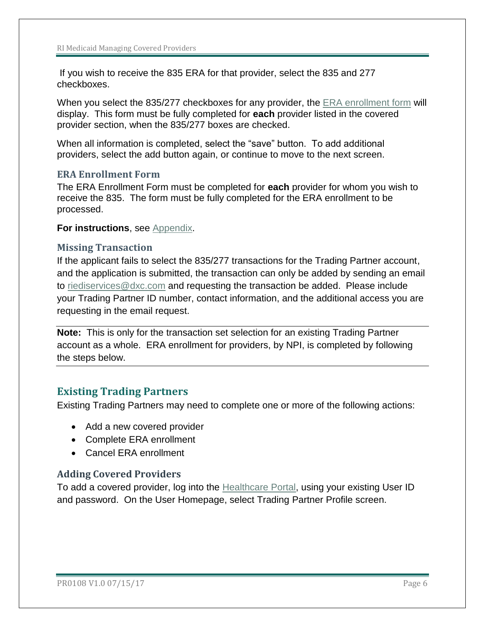If you wish to receive the 835 ERA for that provider, select the 835 and 277 checkboxes.

When you select the 835/277 checkboxes for any provider, the [ERA enrollment form](#page-5-0) will display. This form must be fully completed for **each** provider listed in the covered provider section, when the 835/277 boxes are checked.

When all information is completed, select the "save" button. To add additional providers, select the add button again, or continue to move to the next screen.

## <span id="page-5-0"></span>**ERA Enrollment Form**

The ERA Enrollment Form must be completed for **each** provider for whom you wish to receive the 835. The form must be fully completed for the ERA enrollment to be processed.

**For instructions**, see [Appendix.](#page-9-0)

### <span id="page-5-1"></span>**Missing Transaction**

If the applicant fails to select the 835/277 transactions for the Trading Partner account, and the application is submitted, the transaction can only be added by sending an email to [riediservices@dxc.com](mailto:riediservices@dxc.com) and requesting the transaction be added. Please include your Trading Partner ID number, contact information, and the additional access you are requesting in the email request.

**Note:** This is only for the transaction set selection for an existing Trading Partner account as a whole. ERA enrollment for providers, by NPI, is completed by following the steps below.

## <span id="page-5-2"></span>**Existing Trading Partners**

Existing Trading Partners may need to complete one or more of the following actions:

- Add a new covered provider
- Complete ERA enrollment
- Cancel ERA enrollment

## <span id="page-5-3"></span>**Adding Covered Providers**

To add a covered provider, log into the [Healthcare Portal,](https://www.riproviderportal.org/HCP/Default.aspx?alias=www.riproviderportal.org/hcp/provider) using your existing User ID and password. On the User Homepage, select Trading Partner Profile screen.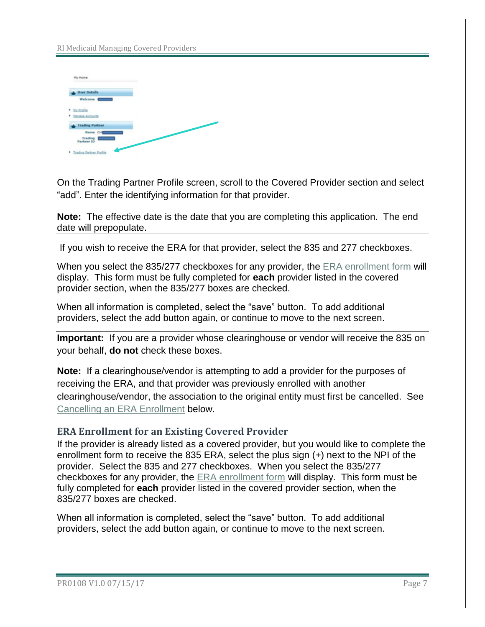| My Home<br>work in the transfer of the state of the state of the state of the state of the state of the state of the state of the |  |  |
|-----------------------------------------------------------------------------------------------------------------------------------|--|--|
| <b>User Details</b>                                                                                                               |  |  |
| Welcome <b>Company</b>                                                                                                            |  |  |
| > Hy Profile                                                                                                                      |  |  |
| <b>Kanage Accounts</b>                                                                                                            |  |  |
| <b>Trading Partner</b>                                                                                                            |  |  |
| Name Of                                                                                                                           |  |  |
| Trading 1<br>Partner ID                                                                                                           |  |  |
| <b>1</b> Trading Partner Profile                                                                                                  |  |  |

On the Trading Partner Profile screen, scroll to the Covered Provider section and select "add". Enter the identifying information for that provider.

**Note:** The effective date is the date that you are completing this application. The end date will prepopulate.

If you wish to receive the ERA for that provider, select the 835 and 277 checkboxes.

When you select the 835/277 checkboxes for any provider, the [ERA enrollment form](#page-5-0) will display. This form must be fully completed for **each** provider listed in the covered provider section, when the 835/277 boxes are checked.

When all information is completed, select the "save" button. To add additional providers, select the add button again, or continue to move to the next screen.

**Important:** If you are a provider whose clearinghouse or vendor will receive the 835 on your behalf, **do not** check these boxes.

**Note:** If a clearinghouse/vendor is attempting to add a provider for the purposes of receiving the ERA, and that provider was previously enrolled with another clearinghouse/vendor, the association to the original entity must first be cancelled. See [Cancelling an ERA Enrollment](#page-7-0) below.

## <span id="page-6-0"></span>**ERA Enrollment for an Existing Covered Provider**

If the provider is already listed as a covered provider, but you would like to complete the enrollment form to receive the 835 ERA, select the plus sign (+) next to the NPI of the provider. Select the 835 and 277 checkboxes. When you select the 835/277 checkboxes for any provider, the [ERA enrollment form](#page-5-0) will display. This form must be fully completed for **each** provider listed in the covered provider section, when the 835/277 boxes are checked.

When all information is completed, select the "save" button. To add additional providers, select the add button again, or continue to move to the next screen.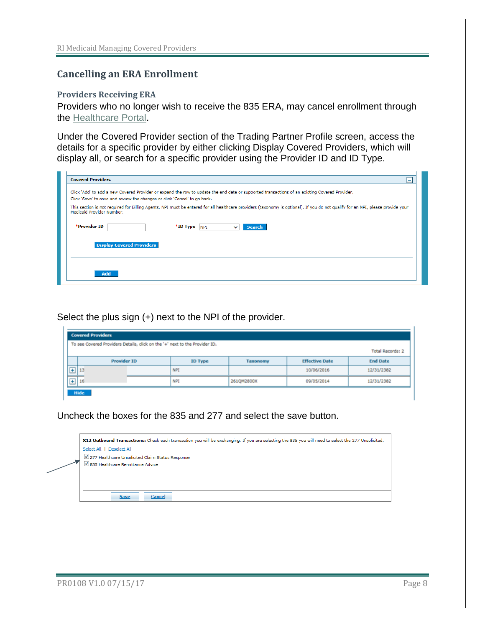## <span id="page-7-0"></span>**Cancelling an ERA Enrollment**

#### <span id="page-7-1"></span>**Providers Receiving ERA**

Providers who no longer wish to receive the 835 ERA, may cancel enrollment through the [Healthcare Portal.](https://www.riproviderportal.org/HCP/Default.aspx?alias=www.riproviderportal.org/hcp/provider)

Under the Covered Provider section of the Trading Partner Profile screen, access the details for a specific provider by either clicking Display Covered Providers, which will display all, or search for a specific provider using the Provider ID and ID Type.

| <b>Covered Providers</b>                                                                                                                                                                                                   | ۰ |
|----------------------------------------------------------------------------------------------------------------------------------------------------------------------------------------------------------------------------|---|
| Click 'Add' to add a new Covered Provider or expand the row to update the end date or supported transactions of an existing Covered Provider.<br>Click 'Save' to save and review the changes or click 'Cancel' to go back. |   |
| This section is not required for Billing Agents. NPI must be entered for all healthcare providers (taxonomy is optional). If you do not qualify for an NPI, please provide your<br>Medicaid Provider Number.               |   |
| *Provider ID<br>$*$ ID Type $ _{\text{NPI}}$<br><b>Search</b><br>$\checkmark$                                                                                                                                              |   |
| <b>Display Covered Providers</b>                                                                                                                                                                                           |   |
|                                                                                                                                                                                                                            |   |
| <b>Add</b>                                                                                                                                                                                                                 |   |

Select the plus sign (+) next to the NPI of the provider.

|                | <b>Covered Providers</b>                                                    |  |                |            |                       |                 |  |
|----------------|-----------------------------------------------------------------------------|--|----------------|------------|-----------------------|-----------------|--|
|                | To see Covered Providers Details, click on the '+' next to the Provider ID. |  |                |            |                       |                 |  |
|                | <b>Total Records: 2</b>                                                     |  |                |            |                       |                 |  |
|                | <b>Provider ID</b>                                                          |  | <b>ID Type</b> | Taxonomy   | <b>Effective Date</b> | <b>End Date</b> |  |
| 回              | 13                                                                          |  | NPI            |            | 10/06/2016            | 12/31/2382      |  |
| $\overline{+}$ | 16                                                                          |  | NP1            | 261QM2800X | 09/05/2014            | 12/31/2382      |  |
|                | Hide                                                                        |  |                |            |                       |                 |  |

Uncheck the boxes for the 835 and 277 and select the save button.

| X12 Outbound Transactions: Check each transaction you will be exchanging. If you are selecting the 835 you will need to select the 277 Unsolicited. |
|-----------------------------------------------------------------------------------------------------------------------------------------------------|
| Select All   Deselect All                                                                                                                           |
| √ 277 Healthcare Unsolicited Claim Status Response                                                                                                  |
| ■ 835 Healthcare Remittance Advice                                                                                                                  |
|                                                                                                                                                     |
|                                                                                                                                                     |
|                                                                                                                                                     |
| <b>Save</b><br><b>Cancel</b>                                                                                                                        |
|                                                                                                                                                     |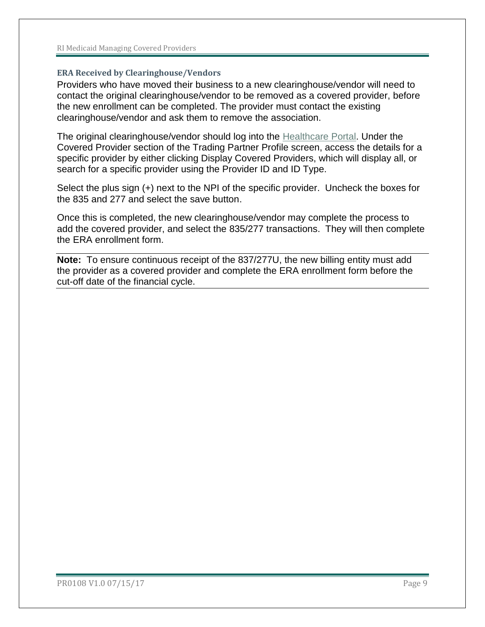#### <span id="page-8-0"></span>**ERA Received by Clearinghouse/Vendors**

Providers who have moved their business to a new clearinghouse/vendor will need to contact the original clearinghouse/vendor to be removed as a covered provider, before the new enrollment can be completed. The provider must contact the existing clearinghouse/vendor and ask them to remove the association.

The original clearinghouse/vendor should log into the [Healthcare Portal.](https://www.riproviderportal.org/HCP/Default.aspx?alias=www.riproviderportal.org/hcp/provider) Under the Covered Provider section of the Trading Partner Profile screen, access the details for a specific provider by either clicking Display Covered Providers, which will display all, or search for a specific provider using the Provider ID and ID Type.

Select the plus sign (+) next to the NPI of the specific provider. Uncheck the boxes for the 835 and 277 and select the save button.

Once this is completed, the new clearinghouse/vendor may complete the process to add the covered provider, and select the 835/277 transactions. They will then complete the ERA enrollment form.

**Note:** To ensure continuous receipt of the 837/277U, the new billing entity must add the provider as a covered provider and complete the ERA enrollment form before the cut-off date of the financial cycle.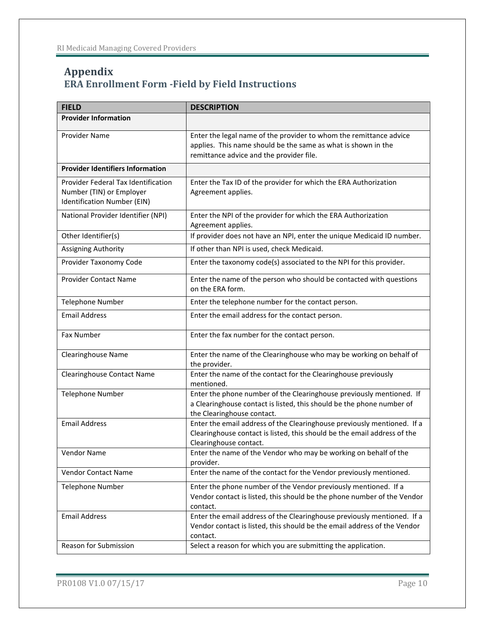# <span id="page-9-0"></span>**Appendix ERA Enrollment Form -Field by Field Instructions**

| <b>FIELD</b>                                                                                   | <b>DESCRIPTION</b>                                                                                                                                                              |
|------------------------------------------------------------------------------------------------|---------------------------------------------------------------------------------------------------------------------------------------------------------------------------------|
| <b>Provider Information</b>                                                                    |                                                                                                                                                                                 |
| Provider Name                                                                                  | Enter the legal name of the provider to whom the remittance advice<br>applies. This name should be the same as what is shown in the<br>remittance advice and the provider file. |
| <b>Provider Identifiers Information</b>                                                        |                                                                                                                                                                                 |
| Provider Federal Tax Identification<br>Number (TIN) or Employer<br>Identification Number (EIN) | Enter the Tax ID of the provider for which the ERA Authorization<br>Agreement applies.                                                                                          |
| National Provider Identifier (NPI)                                                             | Enter the NPI of the provider for which the ERA Authorization<br>Agreement applies.                                                                                             |
| Other Identifier(s)                                                                            | If provider does not have an NPI, enter the unique Medicaid ID number.                                                                                                          |
| Assigning Authority                                                                            | If other than NPI is used, check Medicaid.                                                                                                                                      |
| Provider Taxonomy Code                                                                         | Enter the taxonomy code(s) associated to the NPI for this provider.                                                                                                             |
| <b>Provider Contact Name</b>                                                                   | Enter the name of the person who should be contacted with questions<br>on the ERA form.                                                                                         |
| <b>Telephone Number</b>                                                                        | Enter the telephone number for the contact person.                                                                                                                              |
| <b>Email Address</b>                                                                           | Enter the email address for the contact person.                                                                                                                                 |
| Fax Number                                                                                     | Enter the fax number for the contact person.                                                                                                                                    |
| <b>Clearinghouse Name</b>                                                                      | Enter the name of the Clearinghouse who may be working on behalf of<br>the provider.                                                                                            |
| <b>Clearinghouse Contact Name</b>                                                              | Enter the name of the contact for the Clearinghouse previously<br>mentioned.                                                                                                    |
| <b>Telephone Number</b>                                                                        | Enter the phone number of the Clearinghouse previously mentioned. If<br>a Clearinghouse contact is listed, this should be the phone number of<br>the Clearinghouse contact.     |
| <b>Email Address</b>                                                                           | Enter the email address of the Clearinghouse previously mentioned. If a<br>Clearinghouse contact is listed, this should be the email address of the<br>Clearinghouse contact.   |
| Vendor Name                                                                                    | Enter the name of the Vendor who may be working on behalf of the<br>provider.                                                                                                   |
| Vendor Contact Name                                                                            | Enter the name of the contact for the Vendor previously mentioned.                                                                                                              |
| <b>Telephone Number</b>                                                                        | Enter the phone number of the Vendor previously mentioned. If a<br>Vendor contact is listed, this should be the phone number of the Vendor<br>contact.                          |
| <b>Email Address</b>                                                                           | Enter the email address of the Clearinghouse previously mentioned. If a<br>Vendor contact is listed, this should be the email address of the Vendor<br>contact.                 |
| Reason for Submission                                                                          | Select a reason for which you are submitting the application.                                                                                                                   |